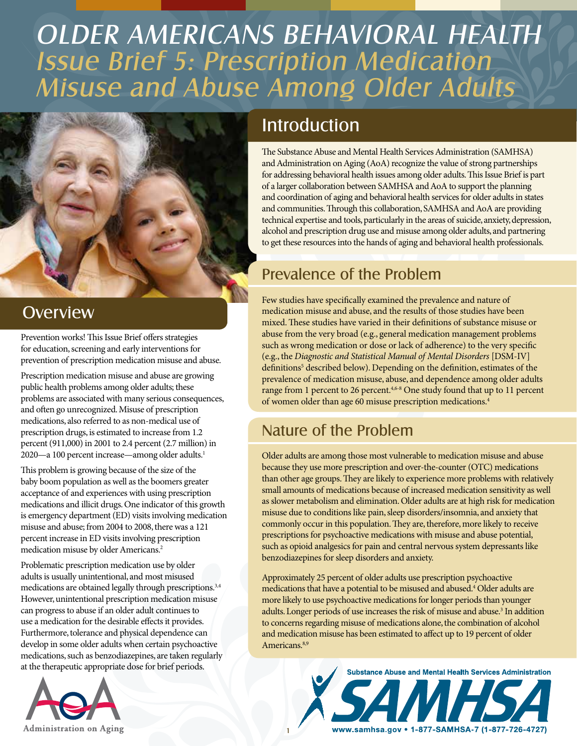# OLDER AMERICANS BEHAVIORAL HEALTH Issue Brief 5: Prescription Medication Misuse and Abuse Among Older Adults



### **Overview**

Prevention works! This Issue Brief offers strategies for education, screening and early interventions for prevention of prescription medication misuse and abuse.

Prescription medication misuse and abuse are growing public health problems among older adults; these problems are associated with many serious consequences, and often go unrecognized. Misuse of prescription medications, also referred to as non-medical use of prescription drugs, is estimated to increase from 1.2 percent (911,000) in 2001 to 2.4 percent (2.7 million) in 2020—a 100 percent increase—among older adults.<sup>1</sup>

This problem is growing because of the size of the baby boom population as well as the boomers greater acceptance of and experiences with using prescription medications and illicit drugs. One indicator of this growth is emergency department (ED) visits involving medication misuse and abuse; from 2004 to 2008, there was a 121 percent increase in ED visits involving prescription medication misuse by older Americans.2

Problematic prescription medication use by older adults is usually unintentional, and most misused medications are obtained legally through prescriptions.<sup>3,4</sup> However, unintentional prescription medication misuse can progress to abuse if an older adult continues to use a medication for the desirable effects it provides. Furthermore, tolerance and physical dependence can develop in some older adults when certain psychoactive medications, such as benzodiazepines, are taken regularly at the therapeutic appropriate dose for brief periods.



# **Introduction**

The Substance Abuse and Mental Health Services Administration (SAMHSA) and Administration on Aging (AoA) recognize the value of strong partnerships for addressing behavioral health issues among older adults. This Issue Brief is part of a larger collaboration between SAMHSA and AoA to support the planning and coordination of aging and behavioral health services for older adults in states and communities. Through this collaboration, SAMHSA and AoA are providing technical expertise and tools, particularly in the areas of suicide, anxiety, depression, alcohol and prescription drug use and misuse among older adults, and partnering to get these resources into the hands of aging and behavioral health professionals.

## Prevalence of the Problem

Few studies have specifically examined the prevalence and nature of medication misuse and abuse, and the results of those studies have been mixed. These studies have varied in their definitions of substance misuse or abuse from the very broad (e.g., general medication management problems such as wrong medication or dose or lack of adherence) to the very specific (e.g., the *Diagnostic and Statistical Manual of Mental Disorders* [DSM-IV] definitions<sup>5</sup> described below). Depending on the definition, estimates of the prevalence of medication misuse, abuse, and dependence among older adults range from 1 percent to 26 percent.<sup>4,6-8</sup> One study found that up to 11 percent of women older than age 60 misuse prescription medications.<sup>4</sup>

### Nature of the Problem

Older adults are among those most vulnerable to medication misuse and abuse because they use more prescription and over-the-counter (OTC) medications than other age groups. They are likely to experience more problems with relatively small amounts of medications because of increased medication sensitivity as well as slower metabolism and elimination. Older adults are at high risk for medication misuse due to conditions like pain, sleep disorders/insomnia, and anxiety that commonly occur in this population. They are, therefore, more likely to receive prescriptions for psychoactive medications with misuse and abuse potential, such as opioid analgesics for pain and central nervous system depressants like benzodiazepines for sleep disorders and anxiety.

Approximately 25 percent of older adults use prescription psychoactive medications that have a potential to be misused and abused.4 Older adults are more likely to use psychoactive medications for longer periods than younger adults. Longer periods of use increases the risk of misuse and abuse.<sup>3</sup> In addition to concerns regarding misuse of medications alone, the combination of alcohol and medication misuse has been estimated to affect up to 19 percent of older Americans.<sup>8,9</sup>

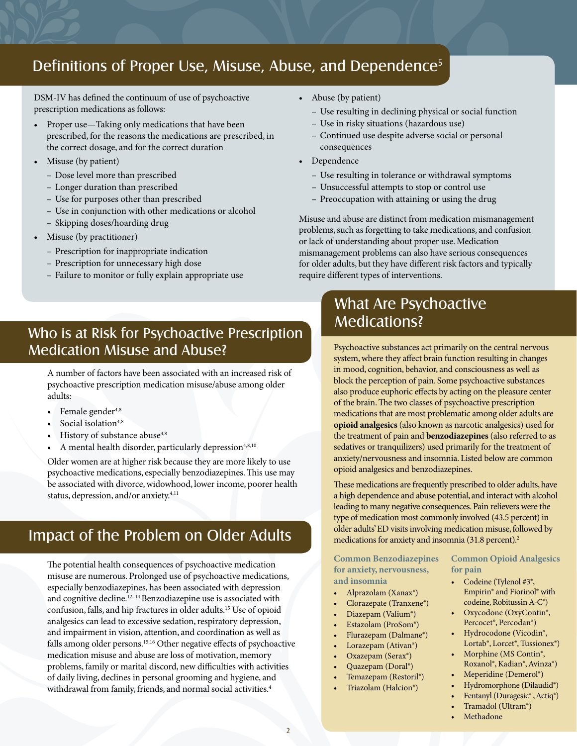### Definitions of Proper Use, Misuse, Abuse, and Dependence<sup>5</sup>

DSM-IV has defined the continuum of use of psychoactive prescription medications as follows:

- Proper use—Taking only medications that have been prescribed, for the reasons the medications are prescribed, in the correct dosage, and for the correct duration
- Misuse (by patient)
	- Dose level more than prescribed
	- Longer duration than prescribed
	- Use for purposes other than prescribed
	- Use in conjunction with other medications or alcohol
	- Skipping doses/hoarding drug
- Misuse (by practitioner)
	- Prescription for inappropriate indication
	- Prescription for unnecessary high dose
	- Failure to monitor or fully explain appropriate use
- Who is at Risk for Psychoactive Prescription Medication Misuse and Abuse?

A number of factors have been associated with an increased risk of psychoactive prescription medication misuse/abuse among older adults:

- Female gender<sup>4,8</sup>
- Social isolation<sup>4,8</sup>
- History of substance abuse<sup>4,8</sup>
- A mental health disorder, particularly depression<sup>4,8,10</sup>

Older women are at higher risk because they are more likely to use psychoactive medications, especially benzodiazepines. This use may be associated with divorce, widowhood, lower income, poorer health status, depression, and/or anxiety.4,11

#### Impact of the Problem on Older Adults

The potential health consequences of psychoactive medication misuse are numerous. Prolonged use of psychoactive medications, especially benzodiazepines, has been associated with depression and cognitive decline.12–14 Benzodiazepine use is associated with confusion, falls, and hip fractures in older adults.15 Use of opioid analgesics can lead to excessive sedation, respiratory depression, and impairment in vision, attention, and coordination as well as falls among older persons.15,16 Other negative effects of psychoactive medication misuse and abuse are loss of motivation, memory problems, family or marital discord, new difficulties with activities of daily living, declines in personal grooming and hygiene, and withdrawal from family, friends, and normal social activities.<sup>4</sup>

- Abuse (by patient)
	- Use resulting in declining physical or social function
	- Use in risky situations (hazardous use)
	- Continued use despite adverse social or personal consequences
- • Dependence
	- Use resulting in tolerance or withdrawal symptoms
	- Unsuccessful attempts to stop or control use
	- Preoccupation with attaining or using the drug

Misuse and abuse are distinct from medication mismanagement problems, such as forgetting to take medications, and confusion or lack of understanding about proper use. Medication mismanagement problems can also have serious consequences for older adults, but they have different risk factors and typically require different types of interventions.

### What Are Psychoactive Medications?

Psychoactive substances act primarily on the central nervous system, where they affect brain function resulting in changes in mood, cognition, behavior, and consciousness as well as block the perception of pain. Some psychoactive substances also produce euphoric effects by acting on the pleasure center of the brain. The two classes of psychoactive prescription medications that are most problematic among older adults are **opioid analgesics** (also known as narcotic analgesics) used for the treatment of pain and **benzodiazepines** (also referred to as sedatives or tranquilizers) used primarily for the treatment of anxiety/nervousness and insomnia. Listed below are common opioid analgesics and benzodiazepines.

These medications are frequently prescribed to older adults, have a high dependence and abuse potential, and interact with alcohol leading to many negative consequences. Pain relievers were the type of medication most commonly involved (43.5 percent) in older adults' ED visits involving medication misuse, followed by medications for anxiety and insomnia (31.8 percent).<sup>2</sup>

**Common Benzodiazepines Common Opioid Analgesics for anxiety, nervousness, for pain and insomnia** • Codeine (Tylenol #3<sup>®</sup>,

- 
- Clorazepate (Tranxene®)
- 
- 
- Flurazepam (Dalmane®)
- 
- Oxazepam (Serax®) Morphine (MS Contin®,
- 
- Temazepam (Restoril®)
- 

- Alprazolam (Xanax®) Empirin® and Fiorinol® with Clorazenate (Tranxene®) codeine, Robitussin A-C®)
	- • Diazepam (Valium®) • Oxycodone (OxyContin®,
	- Estazolam (ProSom®) Percocet®, Percodan®)<br>
	Flurazenam (Dalmane®) Percocet®, Percodan®, Lorazepam (Ativan®) Lortab®, Lorcet®, Tussionex®)
	- • Quazepam (Doral®) Roxanol®, Kadian®, Avinza®)
		-
	- Triazolam (Halcion®) Hydromorphone (Dilaudid®)
		- Fentanyl (Duragesic®, Actiq®) Tramadol (Ultram®)
		- **Methadone**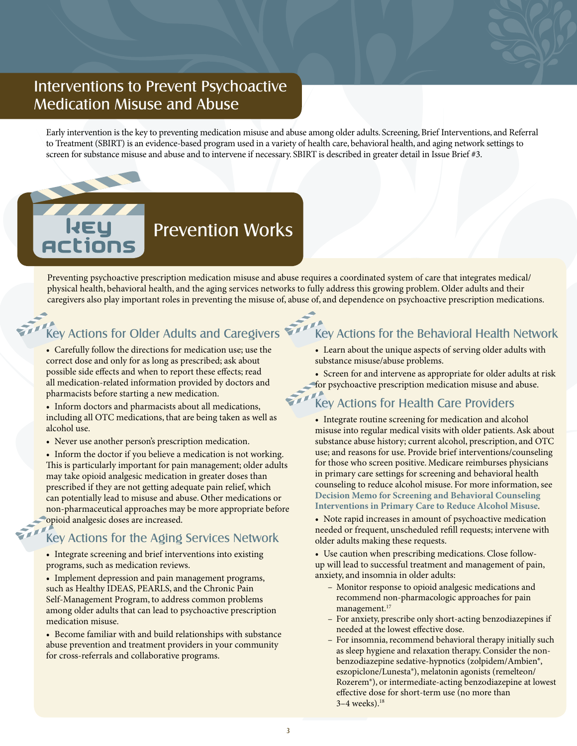#### Interventions to Prevent Psychoactive Medication Misuse and Abuse

Early intervention is the key to preventing medication misuse and abuse among older adults. Screening, Brief Interventions, and Referral to Treatment (SBIRT) is an evidence-based program used in a variety of health care, behavioral health, and aging network settings to screen for substance misuse and abuse and to intervene if necessary. SBIRT is described in greater detail in Issue Brief #3.

# Prevention Works

Preventing psychoactive prescription medication misuse and abuse requires a coordinated system of care that integrates medical/ physical health, behavioral health, and the aging services networks to fully address this growing problem. Older adults and their caregivers also play important roles in preventing the misuse of, abuse of, and dependence on psychoactive prescription medications.

### Key Actions for Older Adults and Caregivers

• Carefully follow the directions for medication use; use the correct dose and only for as long as prescribed; ask about possible side effects and when to report these effects; read all medication-related information provided by doctors and pharmacists before starting a new medication.

• Inform doctors and pharmacists about all medications, including all OTC medications, that are being taken as well as alcohol use.

• Never use another person's prescription medication.

• Inform the doctor if you believe a medication is not working. This is particularly important for pain management; older adults may take opioid analgesic medication in greater doses than prescribed if they are not getting adequate pain relief, which can potentially lead to misuse and abuse. Other medications or non-pharmaceutical approaches may be more appropriate before opioid analgesic doses are increased.

#### Key Actions for the Aging Services Network

• Integrate screening and brief interventions into existing programs, such as medication reviews.

• Implement depression and pain management programs, such as Healthy IDEAS, PEARLS, and the Chronic Pain Self-Management Program, to address common problems among older adults that can lead to psychoactive prescription medication misuse.

• Become familiar with and build relationships with substance abuse prevention and treatment providers in your community for cross-referrals and collaborative programs.

#### Key Actions for the Behavioral Health Network

- Learn about the unique aspects of serving older adults with substance misuse/abuse problems.
- Screen for and intervene as appropriate for older adults at risk for psychoactive prescription medication misuse and abuse.

#### Key Actions for Health Care Providers

• Integrate routine screening for medication and alcohol misuse into regular medical visits with older patients. Ask about substance abuse history; current alcohol, prescription, and OTC use; and reasons for use. Provide brief interventions/counseling for those who screen positive. Medicare reimburses physicians in primary care settings for screening and behavioral health counseling to reduce alcohol misuse. For more information, see **[Decision Memo for Screening and Behavioral Counseling](http://www.cms.gov/medicare-coverage-database/details/
nca-decision-memo.aspx?NCAId=249)  [Interventions in Primary Care to Reduce Alcohol Misuse](http://www.cms.gov/medicare-coverage-database/details/
nca-decision-memo.aspx?NCAId=249)**.

- Note rapid increases in amount of psychoactive medication needed or frequent, unscheduled refill requests; intervene with older adults making these requests.
- Use caution when prescribing medications. Close followup will lead to successful treatment and management of pain, anxiety, and insomnia in older adults:
	- Monitor response to opioid analgesic medications and recommend non-pharmacologic approaches for pain management.<sup>17</sup>
	- For anxiety, prescribe only short-acting benzodiazepines if needed at the lowest effective dose.
	- For insomnia, recommend behavioral therapy initially such as sleep hygiene and relaxation therapy. Consider the nonbenzodiazepine sedative-hypnotics (zolpidem/Ambien®, eszopiclone/Lunesta®), melatonin agonists (remelteon/ Rozerem®), or intermediate-acting benzodiazepine at lowest effective dose for short-term use (no more than 3–4 weeks).18